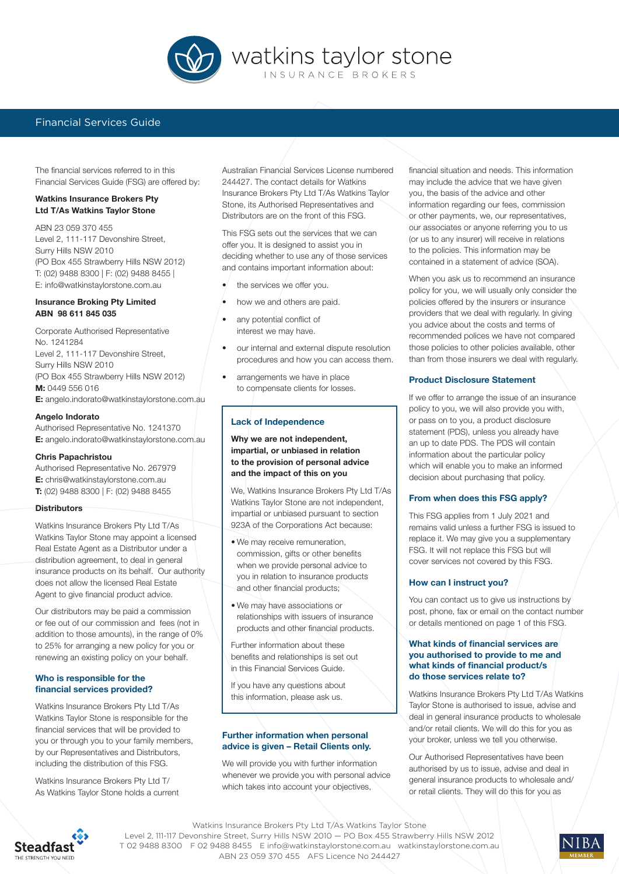

# Financial Services Guide

The financial services referred to in this Financial Services Guide (FSG) are offered by:

# **Watkins Insurance Brokers Pty Ltd T/As Watkins Taylor Stone**

ABN 23 059 370 455 Level 2, 111-117 Devonshire Street, Surry Hills NSW 2010 (PO Box 455 Strawberry Hills NSW 2012) T: (02) 9488 8300 | F: (02) 9488 8455 | E: info@watkinstaylorstone.com.au

#### **Insurance Broking Pty Limited ABN 98 611 845 035**

Corporate Authorised Representative No. 1241284 Level 2, 111-117 Devonshire Street, Surry Hills NSW 2010 (PO Box 455 Strawberry Hills NSW 2012) **M:** 0449 556 016 **E:** angelo.indorato@watkinstaylorstone.com.au

### **Angelo Indorato**

Authorised Representative No. 1241370 **E:** angelo.indorato@watkinstaylorstone.com.au

#### **Chris Papachristou**

Authorised Representative No. 267979 **E:** chris@watkinstaylorstone.com.au **T:** (02) 9488 8300 | F: (02) 9488 8455

#### **Distributors**

Watkins Insurance Brokers Pty Ltd T/As Watkins Taylor Stone may appoint a licensed Real Estate Agent as a Distributor under a distribution agreement, to deal in general insurance products on its behalf. Our authority does not allow the licensed Real Estate Agent to give financial product advice.

Our distributors may be paid a commission or fee out of our commission and fees (not in addition to those amounts), in the range of 0% to 25% for arranging a new policy for you or renewing an existing policy on your behalf.

## **Who is responsible for the financial services provided?**

Watkins Insurance Brokers Pty Ltd T/As Watkins Taylor Stone is responsible for the financial services that will be provided to you or through you to your family members, by our Representatives and Distributors, including the distribution of this FSG.

Watkins Insurance Brokers Pty Ltd T/ As Watkins Taylor Stone holds a current

Australian Financial Services License numbered 244427. The contact details for Watkins Insurance Brokers Pty Ltd T/As Watkins Taylor Stone, its Authorised Representatives and Distributors are on the front of this FSG.

This FSG sets out the services that we can offer you. It is designed to assist you in deciding whether to use any of those services and contains important information about:

- $\bullet$  the services we offer you.
- how we and others are paid.
- any potential conflict of interest we may have.
- our internal and external dispute resolution procedures and how you can access them.
- arrangements we have in place to compensate clients for losses.

# **Lack of Independence**

**Why we are not independent, impartial, or unbiased in relation to the provision of personal advice and the impact of this on you**

We, Watkins Insurance Brokers Pty Ltd T/As Watkins Taylor Stone are not independent, impartial or unbiased pursuant to section 923A of the Corporations Act because:

- We may receive remuneration, commission, gifts or other benefits when we provide personal advice to you in relation to insurance products and other financial products;
- We may have associations or relationships with issuers of insurance products and other financial products.

Further information about these benefits and relationships is set out in this Financial Services Guide.

If you have any questions about this information, please ask us.

# **Further information when personal advice is given – Retail Clients only.**

We will provide you with further information whenever we provide you with personal advice which takes into account your objectives,

financial situation and needs. This information may include the advice that we have given you, the basis of the advice and other information regarding our fees, commission or other payments, we, our representatives, our associates or anyone referring you to us (or us to any insurer) will receive in relations to the policies. This information may be contained in a statement of advice (SOA).

When you ask us to recommend an insurance policy for you, we will usually only consider the policies offered by the insurers or insurance providers that we deal with regularly. In giving you advice about the costs and terms of recommended polices we have not compared those policies to other policies available, other than from those insurers we deal with regularly.

# **Product Disclosure Statement**

If we offer to arrange the issue of an insurance policy to you, we will also provide you with, or pass on to you, a product disclosure statement (PDS), unless you already have an up to date PDS. The PDS will contain information about the particular policy which will enable you to make an informed decision about purchasing that policy.

# **From when does this FSG apply?**

This FSG applies from 1 July 2021 and remains valid unless a further FSG is issued to replace it. We may give you a supplementary FSG. It will not replace this FSG but will cover services not covered by this FSG.

# **How can I instruct you?**

You can contact us to give us instructions by post, phone, fax or email on the contact number or details mentioned on page 1 of this FSG.

## **What kinds of financial services are you authorised to provide to me and what kinds of financial product/s do those services relate to?**

Watkins Insurance Brokers Pty Ltd T/As Watkins Taylor Stone is authorised to issue, advise and deal in general insurance products to wholesale and/or retail clients. We will do this for you as your broker, unless we tell you otherwise.

Our Authorised Representatives have been authorised by us to issue, advise and deal in general insurance products to wholesale and/ or retail clients. They will do this for you as



Watkins Insurance Brokers Pty Ltd T/As Watkins Taylor Stone Level 2, 111-117 Devonshire Street, Surry Hills NSW 2010 — PO Box 455 Strawberry Hills NSW 2012 T 02 9488 8300 F 02 9488 8455 E info@watkinstaylorstone.com.au watkinstaylorstone.com.au ABN 23 059 370 455 AFS Licence No 244427

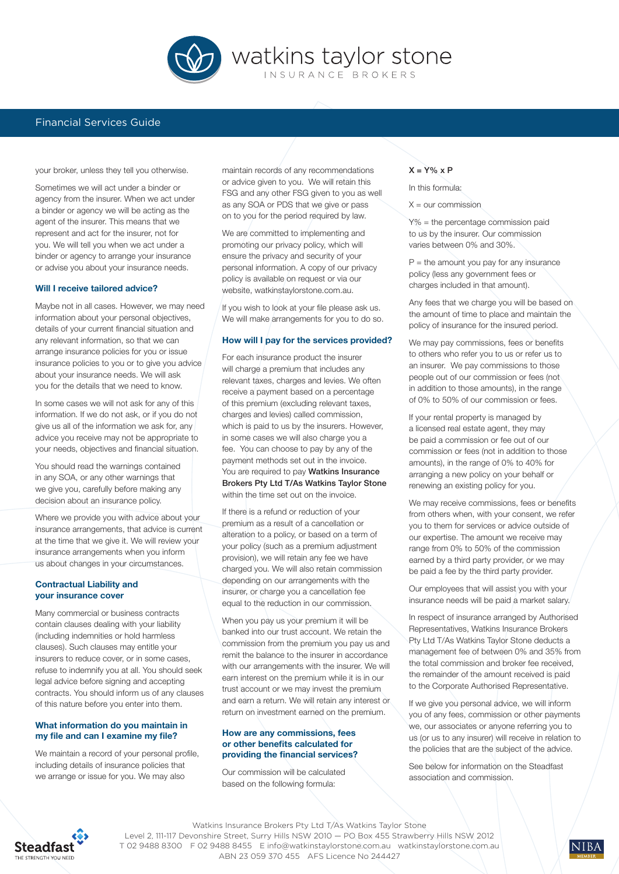

# Financial Services Guide

your broker, unless they tell you otherwise.

Sometimes we will act under a binder or agency from the insurer. When we act under a binder or agency we will be acting as the agent of the insurer. This means that we represent and act for the insurer, not for you. We will tell you when we act under a binder or agency to arrange your insurance or advise you about your insurance needs.

# **Will I receive tailored advice?**

Maybe not in all cases. However, we may need information about your personal objectives, details of your current financial situation and any relevant information, so that we can arrange insurance policies for you or issue insurance policies to you or to give you advice about your insurance needs. We will ask you for the details that we need to know.

In some cases we will not ask for any of this information. If we do not ask, or if you do not give us all of the information we ask for, any advice you receive may not be appropriate to your needs, objectives and financial situation.

You should read the warnings contained in any SOA, or any other warnings that we give you, carefully before making any decision about an insurance policy.

Where we provide you with advice about your insurance arrangements, that advice is current at the time that we give it. We will review your insurance arrangements when you inform us about changes in your circumstances.

## **Contractual Liability and your insurance cover**

Many commercial or business contracts contain clauses dealing with your liability (including indemnities or hold harmless clauses). Such clauses may entitle your insurers to reduce cover, or in some cases, refuse to indemnify you at all. You should seek legal advice before signing and accepting contracts. You should inform us of any clauses of this nature before you enter into them.

# **What information do you maintain in my file and can I examine my file?**

We maintain a record of your personal profile, including details of insurance policies that we arrange or issue for you. We may also

maintain records of any recommendations or advice given to you. We will retain this FSG and any other FSG given to you as well as any SOA or PDS that we give or pass on to you for the period required by law.

We are committed to implementing and promoting our privacy policy, which will ensure the privacy and security of your personal information. A copy of our privacy policy is available on request or via our website, watkinstaylorstone.com.au.

If you wish to look at your file please ask us. We will make arrangements for you to do so.

#### **How will I pay for the services provided?**

For each insurance product the insurer will charge a premium that includes any relevant taxes, charges and levies. We often receive a payment based on a percentage of this premium (excluding relevant taxes, charges and levies) called commission, which is paid to us by the insurers. However, in some cases we will also charge you a fee. You can choose to pay by any of the payment methods set out in the invoice. You are required to pay Watkins Insurance Brokers Pty Ltd T/As Watkins Taylor Stone within the time set out on the invoice.

If there is a refund or reduction of your premium as a result of a cancellation or alteration to a policy, or based on a term of your policy (such as a premium adjustment provision), we will retain any fee we have charged you. We will also retain commission depending on our arrangements with the insurer, or charge you a cancellation fee equal to the reduction in our commission.

When you pay us your premium it will be banked into our trust account. We retain the commission from the premium you pay us and remit the balance to the insurer in accordance with our arrangements with the insurer. We will earn interest on the premium while it is in our trust account or we may invest the premium and earn a return. We will retain any interest or return on investment earned on the premium.

## **How are any commissions, fees or other benefits calculated for providing the financial services?**

Our commission will be calculated based on the following formula:

#### $X = Y\% \times P$

In this formula:

 $X =$  our commission

Y% = the percentage commission paid to us by the insurer. Our commission varies between 0% and 30%.

 $P =$  the amount you pay for any insurance policy (less any government fees or charges included in that amount).

Any fees that we charge you will be based on the amount of time to place and maintain the policy of insurance for the insured period.

We may pay commissions, fees or benefits to others who refer you to us or refer us to an insurer. We pay commissions to those people out of our commission or fees (not in addition to those amounts), in the range of 0% to 50% of our commission or fees.

If your rental property is managed by a licensed real estate agent, they may be paid a commission or fee out of our commission or fees (not in addition to those amounts), in the range of 0% to 40% for arranging a new policy on your behalf or renewing an existing policy for you.

We may receive commissions, fees or benefits from others when, with your consent, we refer you to them for services or advice outside of our expertise. The amount we receive may range from 0% to 50% of the commission earned by a third party provider, or we may be paid a fee by the third party provider.

Our employees that will assist you with your insurance needs will be paid a market salary.

In respect of insurance arranged by Authorised Representatives, Watkins Insurance Brokers Pty Ltd T/As Watkins Taylor Stone deducts a management fee of between 0% and 35% from the total commission and broker fee received, the remainder of the amount received is paid to the Corporate Authorised Representative.

If we give you personal advice, we will inform you of any fees, commission or other payments we, our associates or anyone referring you to us (or us to any insurer) will receive in relation to the policies that are the subject of the advice.

See below for information on the Steadfast association and commission.



Watkins Insurance Brokers Pty Ltd T/As Watkins Taylor Stone Level 2, 111-117 Devonshire Street, Surry Hills NSW 2010 — PO Box 455 Strawberry Hills NSW 2012 T 02 9488 8300 F 02 9488 8455 E info@watkinstaylorstone.com.au watkinstaylorstone.com.au ABN 23 059 370 455 AFS Licence No 244427